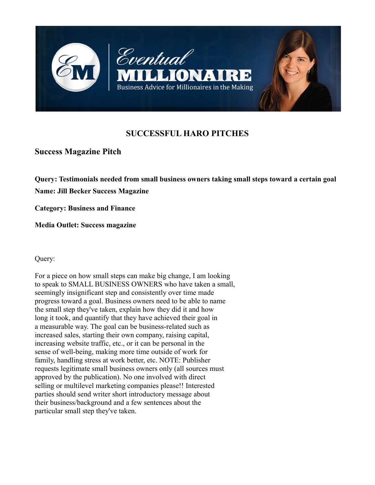

# **SUCCESSFUL HARO PITCHES**

## **Success Magazine Pitch**

**Query: Testimonials needed from small business owners taking small steps toward a certain goal**

**Name: Jill Becker Success Magazine**

**Category: Business and Finance**

**Media Outlet: Success magazine**

Query:

For a piece on how small steps can make big change, I am looking to speak to SMALL BUSINESS OWNERS who have taken a small, seemingly insignificant step and consistently over time made progress toward a goal. Business owners need to be able to name the small step they've taken, explain how they did it and how long it took, and quantify that they have achieved their goal in a measurable way. The goal can be business-related such as increased sales, starting their own company, raising capital, increasing website traffic, etc., or it can be personal in the sense of well-being, making more time outside of work for family, handling stress at work better, etc. NOTE: Publisher requests legitimate small business owners only (all sources must approved by the publication). No one involved with direct selling or multilevel marketing companies please!! Interested parties should send writer short introductory message about their business/background and a few sentences about the particular small step they've taken.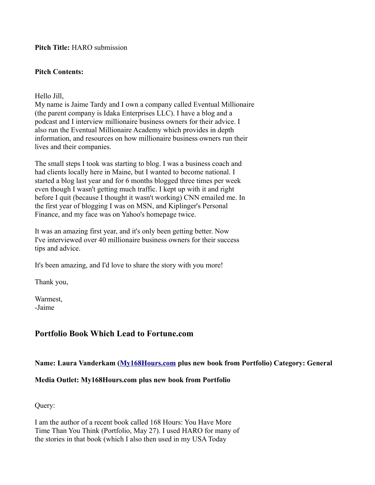**Pitch Title:** HARO submission

#### **Pitch Contents:**

Hello Jill,

My name is Jaime Tardy and I own a company called Eventual Millionaire (the parent company is Idaka Enterprises LLC). I have a blog and a podcast and I interview millionaire business owners for their advice. I also run the Eventual Millionaire Academy which provides in depth information, and resources on how millionaire business owners run their lives and their companies.

The small steps I took was starting to blog. I was a business coach and had clients locally here in Maine, but I wanted to become national. I started a blog last year and for 6 months blogged three times per week even though I wasn't getting much traffic. I kept up with it and right before I quit (because I thought it wasn't working) CNN emailed me. In the first year of blogging I was on MSN, and Kiplinger's Personal Finance, and my face was on Yahoo's homepage twice.

It was an amazing first year, and it's only been getting better. Now I've interviewed over 40 millionaire business owners for their success tips and advice.

It's been amazing, and I'd love to share the story with you more!

Thank you,

Warmest, -Jaime

# **Portfolio Book Which Lead to Fortune.com**

**Name: Laura Vanderkam [\(My168Hours.com](http://My168Hours.com/) plus new book from Portfolio) Category: General**

### **Media Outlet: My168Hours.com plus new book from Portfolio**

Query:

I am the author of a recent book called 168 Hours: You Have More Time Than You Think (Portfolio, May 27). I used HARO for many of the stories in that book (which I also then used in my USA Today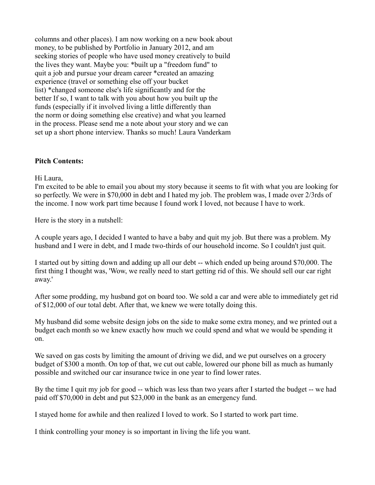columns and other places). I am now working on a new book about money, to be published by Portfolio in January 2012, and am seeking stories of people who have used money creatively to build the lives they want. Maybe you: \*built up a "freedom fund" to quit a job and pursue your dream career \*created an amazing experience (travel or something else off your bucket list) \*changed someone else's life significantly and for the better If so, I want to talk with you about how you built up the funds (especially if it involved living a little differently than the norm or doing something else creative) and what you learned in the process. Please send me a note about your story and we can set up a short phone interview. Thanks so much! Laura Vanderkam

#### **Pitch Contents:**

Hi Laura,

I'm excited to be able to email you about my story because it seems to fit with what you are looking for so perfectly. We were in \$70,000 in debt and I hated my job. The problem was, I made over 2/3rds of the income. I now work part time because I found work I loved, not because I have to work.

Here is the story in a nutshell:

A couple years ago, I decided I wanted to have a baby and quit my job. But there was a problem. My husband and I were in debt, and I made two-thirds of our household income. So I couldn't just quit.

I started out by sitting down and adding up all our debt -- which ended up being around \$70,000. The first thing I thought was, 'Wow, we really need to start getting rid of this. We should sell our car right away.'

After some prodding, my husband got on board too. We sold a car and were able to immediately get rid of \$12,000 of our total debt. After that, we knew we were totally doing this.

My husband did some website design jobs on the side to make some extra money, and we printed out a budget each month so we knew exactly how much we could spend and what we would be spending it on.

We saved on gas costs by limiting the amount of driving we did, and we put ourselves on a grocery budget of \$300 a month. On top of that, we cut out cable, lowered our phone bill as much as humanly possible and switched our car insurance twice in one year to find lower rates.

By the time I quit my job for good -- which was less than two years after I started the budget -- we had paid off \$70,000 in debt and put \$23,000 in the bank as an emergency fund.

I stayed home for awhile and then realized I loved to work. So I started to work part time.

I think controlling your money is so important in living the life you want.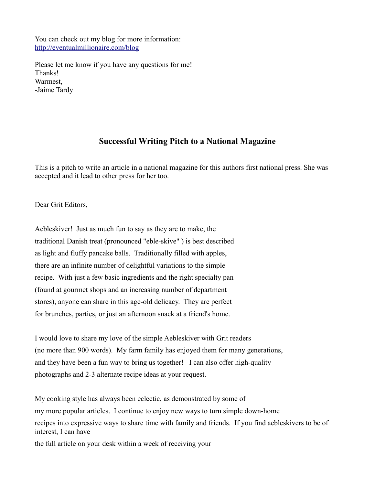You can check out my blog for more information: <http://eventualmillionaire.com/blog>

Please let me know if you have any questions for me! Thanks! Warmest, -Jaime Tardy

## **Successful Writing Pitch to a National Magazine**

This is a pitch to write an article in a national magazine for this authors first national press. She was accepted and it lead to other press for her too.

Dear Grit Editors,

Aebleskiver! Just as much fun to say as they are to make, the traditional Danish treat (pronounced "eble-skive" ) is best described as light and fluffy pancake balls. Traditionally filled with apples, there are an infinite number of delightful variations to the simple recipe. With just a few basic ingredients and the right specialty pan (found at gourmet shops and an increasing number of department stores), anyone can share in this age-old delicacy. They are perfect for brunches, parties, or just an afternoon snack at a friend's home.

I would love to share my love of the simple Aebleskiver with Grit readers (no more than 900 words). My farm family has enjoyed them for many generations, and they have been a fun way to bring us together! I can also offer high-quality photographs and 2-3 alternate recipe ideas at your request.

My cooking style has always been eclectic, as demonstrated by some of my more popular articles. I continue to enjoy new ways to turn simple down-home recipes into expressive ways to share time with family and friends. If you find aebleskivers to be of interest, I can have the full article on your desk within a week of receiving your